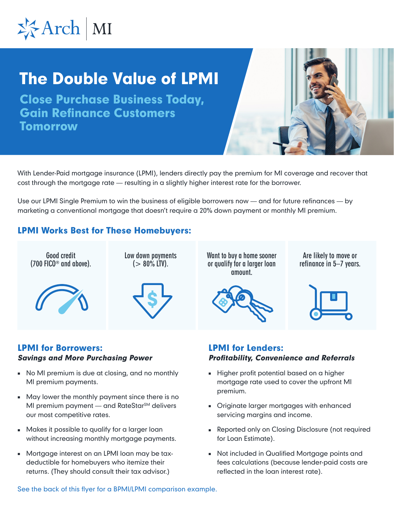

# The Double Value of LPMI

Close Purchase Business Today, Gain Refinance Customers **Tomorrow** 



Use our LPMI Single Premium to win the business of eligible borrowers now — and for future refinances — by marketing a conventional mortgage that doesn't require a 20% down payment or monthly MI premium.

## LPMI Works Best for These Homebuyers:

**Good credit (700 FICO® and above).**



**Low down payments (> 80% LTV).**



**Want to buy a home sooner or qualify for a larger loan amount.**



**Are likely to move or refinance in 5–7 years.**



#### LPMI for Borrowers: Savings and More Purchasing Power

- No MI premium is due at closing, and no monthly MI premium payments.
- May lower the monthly payment since there is no MI premium payment - and RateStar<sup>SM</sup> delivers our most competitive rates.
- Makes it possible to qualify for a larger loan without increasing monthly mortgage payments.
- Mortgage interest on an LPMI loan may be taxdeductible for homebuyers who itemize their returns. (They should consult their tax advisor.)

### LPMI for Lenders: Profitability, Convenience and Referrals

- Higher profit potential based on a higher mortgage rate used to cover the upfront MI premium.
- Originate larger mortgages with enhanced servicing margins and income.
- Reported only on Closing Disclosure (not required for Loan Estimate).
- Not included in Qualified Mortgage points and fees calculations (because lender-paid costs are reflected in the loan interest rate).

See the back of this flyer for a BPMI/LPMI comparison example.